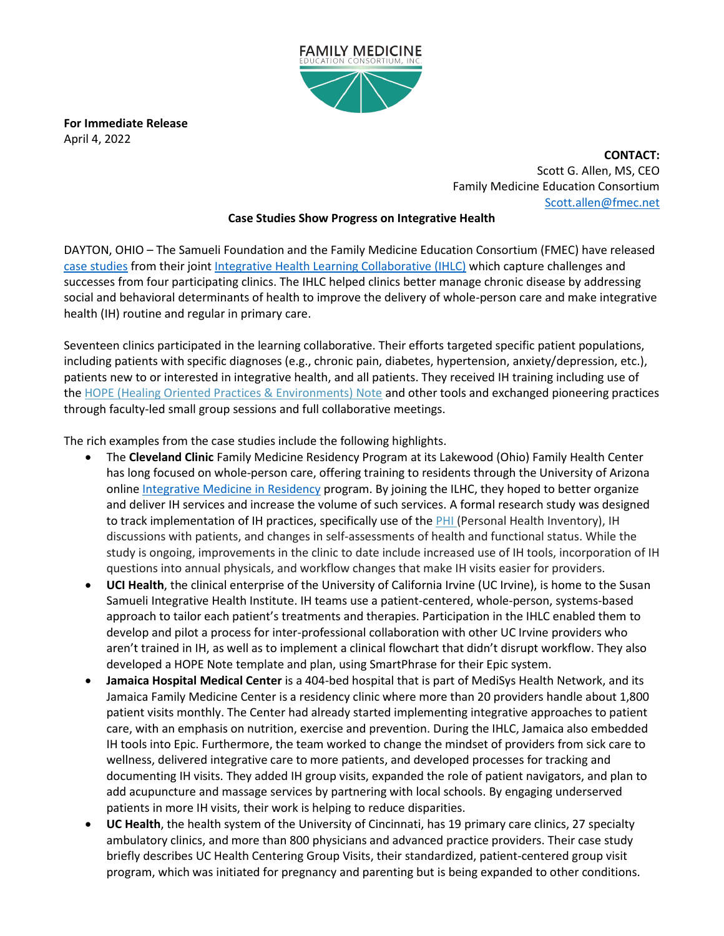

**For Immediate Release** April 4, 2022

> **CONTACT:** Scott G. Allen, MS, CEO Family Medicine Education Consortium [Scott.allen@fmec.net](mailto:Scott.allen@fmec.net)

## **Case Studies Show Progress on Integrative Health**

DAYTON, OHIO – The Samueli Foundation and the Family Medicine Education Consortium (FMEC) have released [case studies](https://drwaynejonas.com/resources/?keywords=learning+collaborative&topic=&content-type=) from their joint [Integrative Health Learning Collaborative \(IHLC\)](https://www.fmec.net/integrative-health-learning-community) which capture challenges and successes from four participating clinics. The IHLC helped clinics better manage chronic disease by addressing social and behavioral determinants of health to improve the delivery of whole-person care and make integrative health (IH) routine and regular in primary care.

Seventeen clinics participated in the learning collaborative. Their efforts targeted specific patient populations, including patients with specific diagnoses (e.g., chronic pain, diabetes, hypertension, anxiety/depression, etc.), patients new to or interested in integrative health, and all patients. They received IH training including use of the HOPE (Healing Oriented Practices & Environments) Note and other tools and exchanged pioneering practices through faculty-led small group sessions and full collaborative meetings.

The rich examples from the case studies include the following highlights.

- The **Cleveland Clinic** Family Medicine Residency Program at its Lakewood (Ohio) Family Health Center has long focused on whole-person care, offering training to residents through the University of Arizona online [Integrative Medicine in Residency](https://awcim.arizona.edu/education/imr.html) program. By joining the ILHC, they hoped to better organize and deliver IH services and increase the volume of such services. A formal research study was designed to track implementation of IH practices, specifically use of the PHI (Personal Health Inventory), IH discussions with patients, and changes in self-assessments of health and functional status. While the study is ongoing, improvements in the clinic to date include increased use of IH tools, incorporation of IH questions into annual physicals, and workflow changes that make IH visits easier for providers.
- **UCI Health**, the clinical enterprise of the University of California Irvine (UC Irvine), is home to the Susan Samueli Integrative Health Institute. IH teams use a patient-centered, whole-person, systems-based approach to tailor each patient's treatments and therapies. Participation in the IHLC enabled them to develop and pilot a process for inter-professional collaboration with other UC Irvine providers who aren't trained in IH, as well as to implement a clinical flowchart that didn't disrupt workflow. They also developed a HOPE Note template and plan, using SmartPhrase for their Epic system.
- **Jamaica Hospital Medical Center** is a 404-bed hospital that is part of MediSys Health Network, and its Jamaica Family Medicine Center is a residency clinic where more than 20 providers handle about 1,800 patient visits monthly. The Center had already started implementing integrative approaches to patient care, with an emphasis on nutrition, exercise and prevention. During the IHLC, Jamaica also embedded IH tools into Epic. Furthermore, the team worked to change the mindset of providers from sick care to wellness, delivered integrative care to more patients, and developed processes for tracking and documenting IH visits. They added IH group visits, expanded the role of patient navigators, and plan to add acupuncture and massage services by partnering with local schools. By engaging underserved patients in more IH visits, their work is helping to reduce disparities.
- **UC Health**, the health system of the University of Cincinnati, has 19 primary care clinics, 27 specialty ambulatory clinics, and more than 800 physicians and advanced practice providers. Their case study briefly describes UC Health Centering Group Visits, their standardized, patient-centered group visit program, which was initiated for pregnancy and parenting but is being expanded to other conditions.